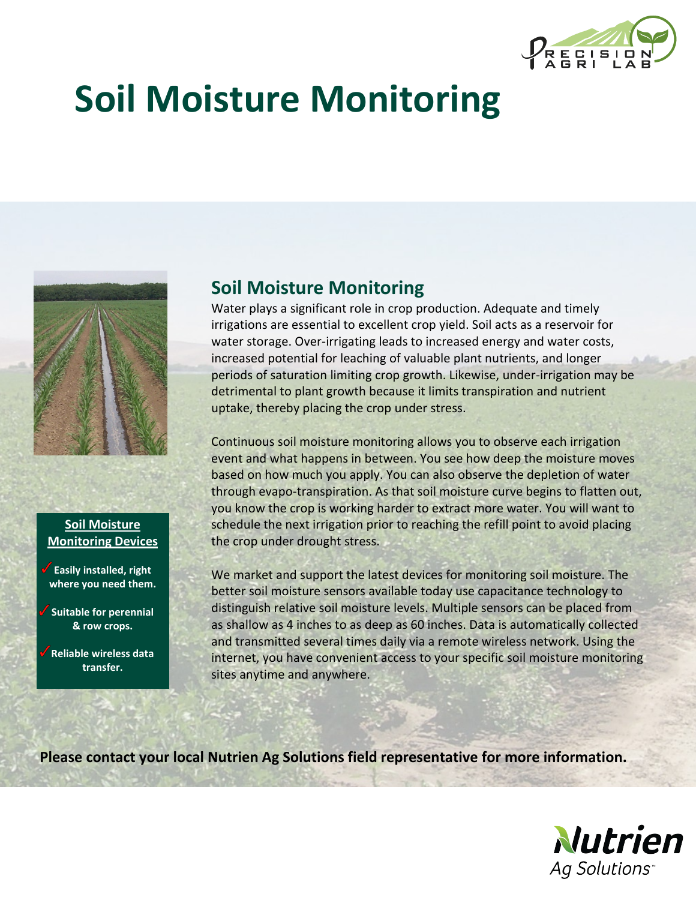

## **Soil Moisture Monitoring**



## **Soil Moisture Monitoring Devices**

**Easily installed, right where you need them.** 

**Suitable for perennial & row crops.** 

**Reliable wireless data transfer.** 

## **Soil Moisture Monitoring**

Water plays a significant role in crop production. Adequate and timely irrigations are essential to excellent crop yield. Soil acts as a reservoir for water storage. Over-irrigating leads to increased energy and water costs, increased potential for leaching of valuable plant nutrients, and longer periods of saturation limiting crop growth. Likewise, under-irrigation may be detrimental to plant growth because it limits transpiration and nutrient uptake, thereby placing the crop under stress.

Continuous soil moisture monitoring allows you to observe each irrigation event and what happens in between. You see how deep the moisture moves based on how much you apply. You can also observe the depletion of water through evapo-transpiration. As that soil moisture curve begins to flatten out, you know the crop is working harder to extract more water. You will want to schedule the next irrigation prior to reaching the refill point to avoid placing the crop under drought stress.

We market and support the latest devices for monitoring soil moisture. The better soil moisture sensors available today use capacitance technology to distinguish relative soil moisture levels. Multiple sensors can be placed from as shallow as 4 inches to as deep as 60 inches. Data is automatically collected and transmitted several times daily via a remote wireless network. Using the internet, you have convenient access to your specific soil moisture monitoring sites anytime and anywhere.

**Please contact your local Nutrien Ag Solutions field representative for more information.**